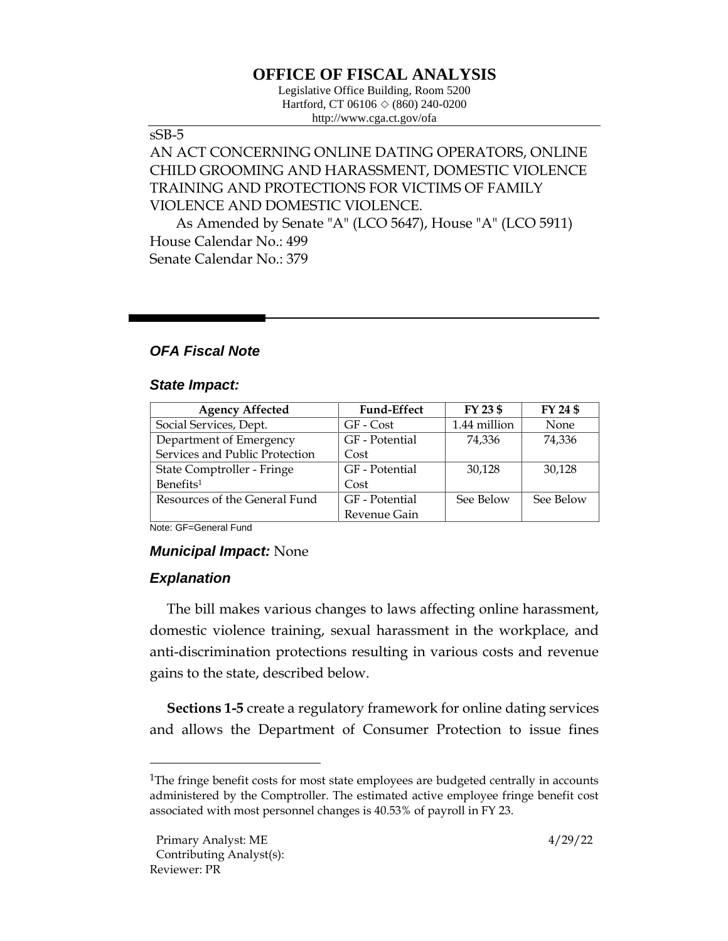# **OFFICE OF FISCAL ANALYSIS**

Legislative Office Building, Room 5200 Hartford, CT 06106  $\Diamond$  (860) 240-0200 http://www.cga.ct.gov/ofa

# sSB-5

# AN ACT CONCERNING ONLINE DATING OPERATORS, ONLINE CHILD GROOMING AND HARASSMENT, DOMESTIC VIOLENCE TRAINING AND PROTECTIONS FOR VICTIMS OF FAMILY VIOLENCE AND DOMESTIC VIOLENCE.

As Amended by Senate "A" (LCO 5647), House "A" (LCO 5911) House Calendar No.: 499 Senate Calendar No.: 379

# *OFA Fiscal Note*

#### *State Impact:*

| <b>Agency Affected</b>         | <b>Fund-Effect</b> | FY 23 \$     | FY 24 \$  |
|--------------------------------|--------------------|--------------|-----------|
| Social Services, Dept.         | GF - Cost          | 1.44 million | None      |
| Department of Emergency        | GF - Potential     | 74.336       | 74,336    |
| Services and Public Protection | Cost               |              |           |
| State Comptroller - Fringe     | GF - Potential     | 30,128       | 30,128    |
| Benefits <sup>1</sup>          | Cost               |              |           |
| Resources of the General Fund  | GF - Potential     | See Below    | See Below |
|                                | Revenue Gain       |              |           |

Note: GF=General Fund

#### *Municipal Impact:* None

# *Explanation*

The bill makes various changes to laws affecting online harassment, domestic violence training, sexual harassment in the workplace, and anti-discrimination protections resulting in various costs and revenue gains to the state, described below.

**Sections 1-5** create a regulatory framework for online dating services and allows the Department of Consumer Protection to issue fines

<sup>&</sup>lt;sup>1</sup>The fringe benefit costs for most state employees are budgeted centrally in accounts administered by the Comptroller. The estimated active employee fringe benefit cost associated with most personnel changes is 40.53% of payroll in FY 23.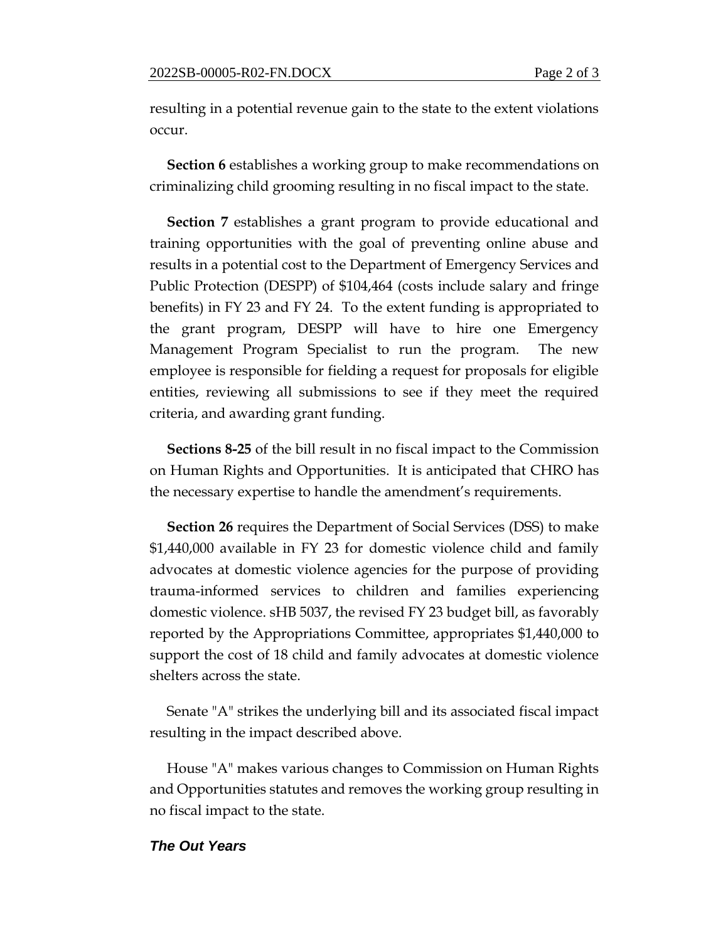resulting in a potential revenue gain to the state to the extent violations occur.

**Section 6** establishes a working group to make recommendations on criminalizing child grooming resulting in no fiscal impact to the state.

**Section 7** establishes a grant program to provide educational and training opportunities with the goal of preventing online abuse and results in a potential cost to the Department of Emergency Services and Public Protection (DESPP) of \$104,464 (costs include salary and fringe benefits) in FY 23 and FY 24. To the extent funding is appropriated to the grant program, DESPP will have to hire one Emergency Management Program Specialist to run the program. The new employee is responsible for fielding a request for proposals for eligible entities, reviewing all submissions to see if they meet the required criteria, and awarding grant funding.

**Sections 8-25** of the bill result in no fiscal impact to the Commission on Human Rights and Opportunities. It is anticipated that CHRO has the necessary expertise to handle the amendment's requirements.

**Section 26** requires the Department of Social Services (DSS) to make \$1,440,000 available in FY 23 for domestic violence child and family advocates at domestic violence agencies for the purpose of providing trauma-informed services to children and families experiencing domestic violence. sHB 5037, the revised FY 23 budget bill, as favorably reported by the Appropriations Committee, appropriates \$1,440,000 to support the cost of 18 child and family advocates at domestic violence shelters across the state.

Senate "A" strikes the underlying bill and its associated fiscal impact resulting in the impact described above.

House "A" makes various changes to Commission on Human Rights and Opportunities statutes and removes the working group resulting in no fiscal impact to the state.

#### *The Out Years*